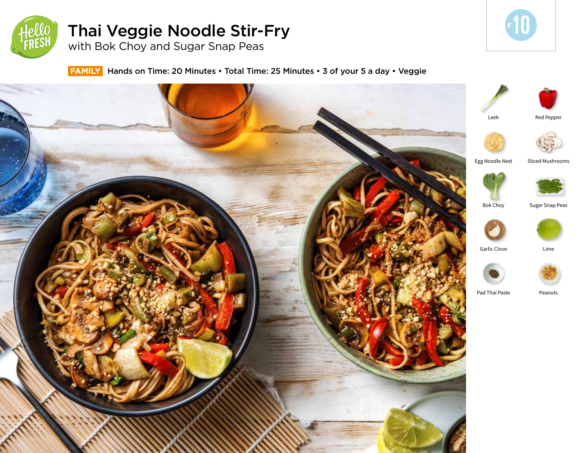

# Thai Veggie Noodle Stir-Fry

with Bok Choy and Sugar Snap Peas



**FAMILY** Hands on Time: 20 Minutes • Total Time: 25 Minutes • 3 of your 5 a day • Veggie